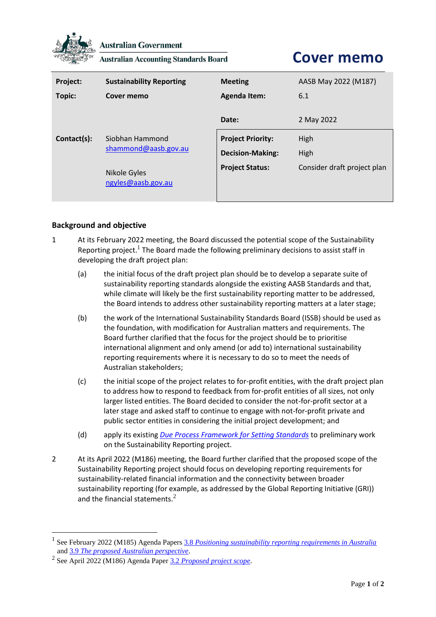

**Australian Government** 

**Australian Accounting Standards Board** 

## **Cover memo**

| Project:    | <b>Sustainability Reporting</b>         | <b>Meeting</b>           | AASB May 2022 (M187)        |
|-------------|-----------------------------------------|--------------------------|-----------------------------|
| Topic:      | Cover memo                              | <b>Agenda Item:</b>      | 6.1                         |
|             |                                         | Date:                    | 2 May 2022                  |
| Contact(s): | Siobhan Hammond<br>shammond@aasb.gov.au | <b>Project Priority:</b> | High                        |
|             |                                         | <b>Decision-Making:</b>  | High                        |
|             | Nikole Gyles<br>ngyles@aasb.gov.au      | <b>Project Status:</b>   | Consider draft project plan |

## **Background and objective**

- 1 At its February 2022 meeting, the Board discussed the potential scope of the Sustainability Reporting project.<sup>1</sup> The Board made the following preliminary decisions to assist staff in developing the draft project plan:
	- (a) the initial focus of the draft project plan should be to develop a separate suite of sustainability reporting standards alongside the existing AASB Standards and that, while climate will likely be the first sustainability reporting matter to be addressed, the Board intends to address other sustainability reporting matters at a later stage;
	- (b) the work of the International Sustainability Standards Board (ISSB) should be used as the foundation, with modification for Australian matters and requirements. The Board further clarified that the focus for the project should be to prioritise international alignment and only amend (or add to) international sustainability reporting requirements where it is necessary to do so to meet the needs of Australian stakeholders;
	- (c) the initial scope of the project relates to for-profit entities, with the draft project plan to address how to respond to feedback from for-profit entities of all sizes, not only larger listed entities. The Board decided to consider the not-for-profit sector at a later stage and asked staff to continue to engage with not-for-profit private and public sector entities in considering the initial project development; and
	- (d) apply its existing *[Due Process Framework for Setting Standards](https://www.aasb.gov.au/admin/file/content102/c3/AASB_Due_Process_Framework_09-19.pdf)* to preliminary work on the Sustainability Reporting project.
- 2 At its April 2022 (M186) meeting, the Board further clarified that the proposed scope of the Sustainability Reporting project should focus on developing reporting requirements for sustainability-related financial information and the connectivity between broader sustainability reporting (for example, as addressed by the Global Reporting Initiative (GRI)) and the financial statements. $2$

<sup>&</sup>lt;sup>1</sup> See February 2022 (M185) Agenda Papers 3.8 *[Positioning sustainability reporting requirements in Australia](https://www.aasb.gov.au/media/gsonkotz/3-8-0_sr_positioningsrinaust_m185_pp.pdf)* and 3.9 *[The proposed Australian perspective](https://www.aasb.gov.au/media/kcnl1zic/3-9_sr_proposedaustperspective_m185_pp.pdf)*.

<sup>2</sup> See April 2022 (M186) Agenda Paper 3.2 *[Proposed project scope](https://www.aasb.gov.au/media/nvzmq1i5/03-2-0_sp_sr_projectscope_m186_pp.pdf)*.